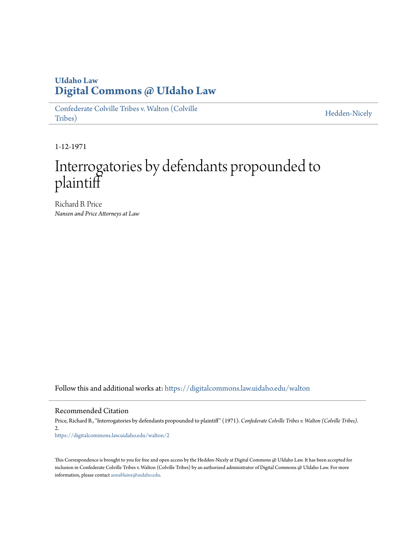## **UIdaho Law [Digital Commons @ UIdaho Law](https://digitalcommons.law.uidaho.edu?utm_source=digitalcommons.law.uidaho.edu%2Fwalton%2F2&utm_medium=PDF&utm_campaign=PDFCoverPages)**

[Confederate Colville Tribes v. Walton \(Colville](https://digitalcommons.law.uidaho.edu/walton?utm_source=digitalcommons.law.uidaho.edu%2Fwalton%2F2&utm_medium=PDF&utm_campaign=PDFCoverPages) [Tribes\)](https://digitalcommons.law.uidaho.edu/walton?utm_source=digitalcommons.law.uidaho.edu%2Fwalton%2F2&utm_medium=PDF&utm_campaign=PDFCoverPages)

[Hedden-Nicely](https://digitalcommons.law.uidaho.edu/hedden-nicely?utm_source=digitalcommons.law.uidaho.edu%2Fwalton%2F2&utm_medium=PDF&utm_campaign=PDFCoverPages)

1-12-1971

## Interrogatories by defendants propounded to plaintiff

Richard B. Price *Nansen and Price Attorneys at Law*

Follow this and additional works at: [https://digitalcommons.law.uidaho.edu/walton](https://digitalcommons.law.uidaho.edu/walton?utm_source=digitalcommons.law.uidaho.edu%2Fwalton%2F2&utm_medium=PDF&utm_campaign=PDFCoverPages)

Recommended Citation

Price, Richard B., "Interrogatories by defendants propounded to plaintiff" (1971). *Confederate Colville Tribes v. Walton (Colville Tribes)*. 2. [https://digitalcommons.law.uidaho.edu/walton/2](https://digitalcommons.law.uidaho.edu/walton/2?utm_source=digitalcommons.law.uidaho.edu%2Fwalton%2F2&utm_medium=PDF&utm_campaign=PDFCoverPages)

This Correspondence is brought to you for free and open access by the Hedden-Nicely at Digital Commons @ UIdaho Law. It has been accepted for inclusion in Confederate Colville Tribes v. Walton (Colville Tribes) by an authorized administrator of Digital Commons @ UIdaho Law. For more information, please contact [annablaine@uidaho.edu](mailto:annablaine@uidaho.edu).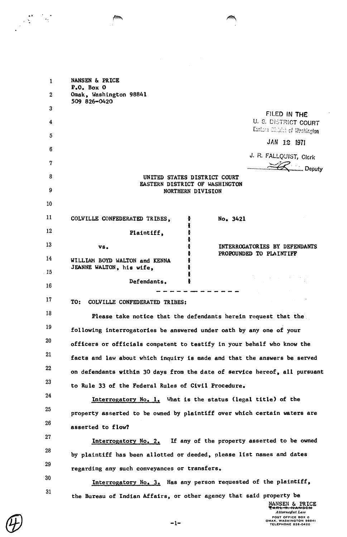| 1        | NANSEN & PRICE<br>$Po$ . Box 0                                                                                                                                                                                                                                                                                                                                            |
|----------|---------------------------------------------------------------------------------------------------------------------------------------------------------------------------------------------------------------------------------------------------------------------------------------------------------------------------------------------------------------------------|
| $\bf{2}$ | Omak, Washington 98841<br>509 826-0420                                                                                                                                                                                                                                                                                                                                    |
| 3        | FILED IN THE                                                                                                                                                                                                                                                                                                                                                              |
| 4        | U. S. DISTRICT COURT<br>Eastern Dichiel of Weshington                                                                                                                                                                                                                                                                                                                     |
| 5        | JAN 12 1971                                                                                                                                                                                                                                                                                                                                                               |
| 6        | J. R. FALLQUIST, Clerk                                                                                                                                                                                                                                                                                                                                                    |
| 7        | Deputy                                                                                                                                                                                                                                                                                                                                                                    |
| 8        | UNITED STATES DISTRICT COURT<br>EASTERN DISTRICT OF WASHINGTON                                                                                                                                                                                                                                                                                                            |
| 9        | NORTHERN DIVISION                                                                                                                                                                                                                                                                                                                                                         |
| 10       |                                                                                                                                                                                                                                                                                                                                                                           |
| 11       | COLVILLE CONFEDERATED TRIBES,<br>No. 3421<br>ø                                                                                                                                                                                                                                                                                                                            |
| 12       | Plaintiff,                                                                                                                                                                                                                                                                                                                                                                |
| 13       | INTERROGATORIES BY DEFENDANTS<br>vs.<br>PROPOUNDED TO PLAINTIFF                                                                                                                                                                                                                                                                                                           |
| 14       | WILLIAM BOYD WALTON and KENNA<br>JEANNE WALTON, his wife,                                                                                                                                                                                                                                                                                                                 |
| 15       | $\label{eq:2.1} \mathcal{L}=\frac{1}{2}\sum_{i=1}^n\frac{1}{2}\sum_{j=1}^n\frac{1}{2}\sum_{j=1}^n\frac{1}{2}\sum_{j=1}^n\frac{1}{2}\sum_{j=1}^n\frac{1}{2}\sum_{j=1}^n\frac{1}{2}\sum_{j=1}^n\frac{1}{2}\sum_{j=1}^n\frac{1}{2}\sum_{j=1}^n\frac{1}{2}\sum_{j=1}^n\frac{1}{2}\sum_{j=1}^n\frac{1}{2}\sum_{j=1}^n\frac{1}{2}\sum_{j=1}^n\frac{1}{2}\sum_{j$<br>Defendants. |
| 16       |                                                                                                                                                                                                                                                                                                                                                                           |
| 17       | TO:<br>COLVILLE CONFEDERATED TRIBES:                                                                                                                                                                                                                                                                                                                                      |
| 18       | Please take notice that the defendants herein request that the                                                                                                                                                                                                                                                                                                            |
| 19       | following interrogatories be answered under oath by any one of your                                                                                                                                                                                                                                                                                                       |
| 20       | officers or officials competent to testify in your behalf who know the                                                                                                                                                                                                                                                                                                    |
| 21       | facts and law about which inquiry is made and that the answers be served                                                                                                                                                                                                                                                                                                  |
| 22       | on defendants within 30 days from the date of service hereof, all pursuant                                                                                                                                                                                                                                                                                                |
| 23       | to Rule 33 of the Federal Rules of Civil Procedure.                                                                                                                                                                                                                                                                                                                       |
| 24       | Interrogatory No. 1. What is the status (legal title) of the                                                                                                                                                                                                                                                                                                              |
| 25       | property asserted to be owned by plaintiff over which certain waters are                                                                                                                                                                                                                                                                                                  |
| 26       | asserted to flow?                                                                                                                                                                                                                                                                                                                                                         |
| 27       | Interrogatory No. 2. If any of the property asserted to be owned                                                                                                                                                                                                                                                                                                          |
| 28       | by plaintiff has been allotted or deeded, please list names and dates                                                                                                                                                                                                                                                                                                     |
| 29       | regarding any such conveyances or transfers.                                                                                                                                                                                                                                                                                                                              |
| 30       | Interrogatory No. 3. Has any person requested of the plaintiff,                                                                                                                                                                                                                                                                                                           |
| 31       | the Bureau of Indian Affairs, or other agency that said property be<br>NANSEN & PRICE                                                                                                                                                                                                                                                                                     |

 $\binom{L}{4}$ 

πi

 $-1-$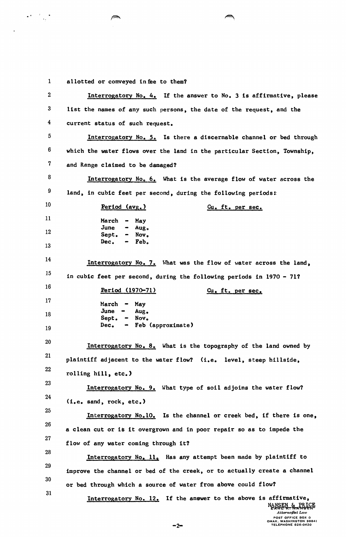1 allotted or conveyed in fee to them?

 $\mathcal{L}^{(1)}$ 

2 Interrogatory No. 4. If the answer to No. 3 is affirmative, please 3 list the names of any such persons, the date of the request, and the 4 current status of such request. 5 **Interrogatory No. 5.** Is there a discernable channel or bed through  $6$  which the water flows over the land in the particular Section, Township, 7 and Range claimed to be damaged? 8 9 10 11 12 13 14 15 16 17 18 19 20 21 22 23 24 25 26 27 28 29 30 31 Interrogatory No. 6. What is the average flow of water across the land, in cubic feet per second, during the following periods: Period (avg.) March June Sept. Dec. May Augo Nov. Feb. Cu. ft. per sec. Interrogatory No. 7. What was the flow of water across the land, in cubic feet per second, during the following periods in 1970 - 71? Period (197D-71) March -June Sept. Dec<sub>o</sub> May Aug. Novo Feb (approximate) Cu. ft. per sec. Interrogatory No. 8. What is the topography of the land owned by plaintiff adjacent to the water flow? (i.e. level, steep hillside, rolling hill, etc.) Interrogatory No. 9. What type of soil adjoins the water flow? (i.e. sand, rock, etc.) Interrogatory No.10. Is the channel or creek bed, if there is one, a clean cut or is it overgrown and in poor repair so as to impede the flow of any water coming through it? Interrogatory No. 11. Has any attempt been made by plaintiff to improve the channel or bed of the creek, or to actually create a channel or bed through which a source of water from above could flow? Interrogatory No. 12. If the answer to the above is affirmative, NANSEN & PRICE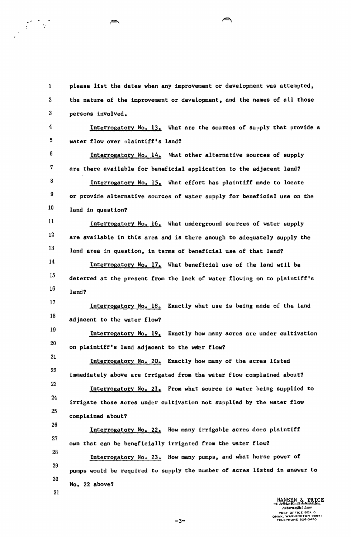1 please list the dates when any improvement or development was attempted, 2 the nature of the improvement or development, and the names of all those 3 persons involved.

<sup>4</sup>Interrogatory No. 13. What are the sources of supply that provide a 5 water flow over plaintiff's land?

 $6$  Interrogatory No. 14. What other alternative sources of supply 7 are there available for beneficial application to the adjacent land? 8 9 10 Interrogatory No. 15. What effort has plaintiff made to locate or provide alternative sources of water supply for beneficial use on the land in question?·

11 12 13 Interrogatory No. 16. What underground sources of water supply are available in this area and is there anough to adequately supply the land area in question, in terms of beneficial use of that land?

14 15 16 Interrogatory No. 17. What beneficial use of the land will be deterred at the present from the lack of water flowing on to plaintiff's land?

17 18 Interrogatory No. 18. Exactly what use is being made of the land adjacent to the water flow?

19 20 Interrogatory No. 19. Exactly how many acres are under cultivation on plaintiff's land adjacent to the waer flow?

21 22 23 24 25 Interrogatory No. 20. Exactly how many of the acres listed immediately above are irrigated from the water flow complained about? Interrogatory No. 21. From what source is water being supplied to irrigate those acres under cultivation not supplied by the water flow complained about?

26 27 28 29 30 Interrogatory No. 22. How many irrigable acres does plaintiff own that can be beneficially irrigated from the water flow? Interrogatory No. 23. How many pumps, and what horse power of pumps would be required to supply the number of acres listed in answer to

No. 22 above?

31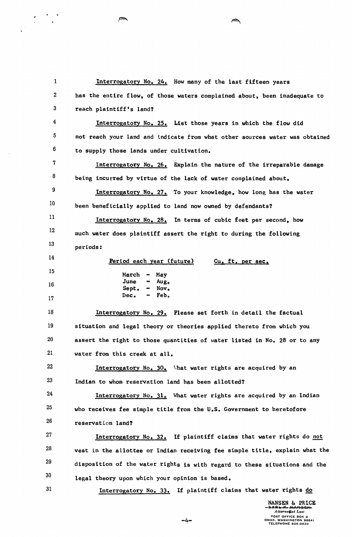1 Interrogatory No, 24. How many of the last fifteen years 2 has the entire flow, of those waters complained about, been inadequate to 3 reach plaintiff's land? 4 Interrogatory No, 25. List those years in which the flow did 5 not reach your land and indicate from what other sources water was obtained 6 to supply those lands under cultivation, 7 Interrogatory No, 26, Explain the nature of the irreparable damage 8 being incurred by virtue of the lack of water complained about, 9 Interrogatory No. 27. To your knowledge, how long has the water 10 been beneficially applied to land now owned by defendants? 11 Interrogatory No, 28, In terms of cubic feet per second, how 12 much water does plaintiff assert the right to during the following 13 periods: 14 Period each year (future) Cu, ft, per sec, 15 March - May June Au go 16 Sept, Nov,  $\frac{1}{2}$ Dec, Feb. 17 18 Interrogatory No. 29. Please set forth in detail the factual 19 situation and legal theory or theories applied thereto from which you 20 assert the right to those quantities of water listed in No. 28 or to any 21 water from this creek at all, 22 **Interrogatory No. 30.** What water rights are acquired by an 23 Indian to whom reservation land has been allotted? 24 Interrogatory No. 31. What water rights are acquired by an Indian 25 who receives fee simple title from the U,S. Government to heretofore 26 reservation land? 27 Interrogatory  $No. 32.$  If plaintiff claims that water rights do not 28 vest in the allottee or Indian receiving fee simple title, explain what the 29 disposition of the water rights is with regard to these situations and the 30 legal theory upon which your opinion is based. 31 Interrogatory No, 33, If plaintiff claims that water rights do NANSEN & PRICE

*Attorncj;at Law*  POST OFFICE BOX 0 OMAK. WASHINGTON 98841 TELEPHONE 826·0420

-4-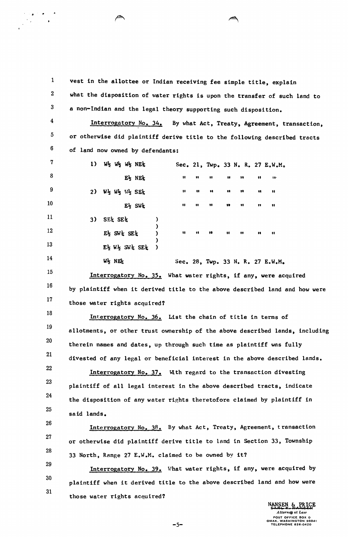1 2 3 4 5 6 vest in the allottee or Indian receiving fee simple title, explain what the disposition of water rights is upon the transfer of such land to a non-Indian and the legal theory supporting such disposition. Interrogatory No. 34. By what Act, Treaty, Agreement, transaction, or otherwise did plaintiff derive title to the following described tracts of land now owned by defendants:

II

7 8 9 10 11 12 13 14 15 16 17 1)  $W_2$   $W_2$   $W_2$   $W_3$   $NE_4$  Sec. 21, Twp. 33 N. R. 27 E.W.M. E% N~ tt .. .. .. .. " .. .  $2$ )  $W_2$   $W_3$   $W_4$   $SE_2$   $W_1$   $W_2$   $W_3$   $SE_4$   $W_1$   $W_2$   $W_3$   $SE_4$   $W_1$   $W_2$   $W_3$   $SE_5$   $W_1$   $W_2$   $W_3$   $SE_6$   $W_1$   $W_2$   $W_3$   $E_4$   $W_1$   $W_2$   $W_3$   $E_5$   $E_6$   $W_1$   $W_2$   $W_3$   $E_7$   $E_8$   $W_1$   $W_2$  E~ SWt II .. " •• " " tt 3) SE<sup> $\frac{1}{2}$ </sup> SE<sup> $\frac{1}{2}$ </sup> SE<sup> $\frac{1}{2}$ </sup> ) E% SW~ SE\ ) II .. .. II " .. " )  $E\frac{1}{2}$  W $\frac{1}{2}$  SW $\frac{1}{2}$  SE $\frac{1}{2}$  )  $W_2$  NE<sub>x</sub> Sec. 28, Twp. 33 N. R. 27 E.W.M. Interrogatory No. 35. What water rights, if any, were acquired by plaintiff when it derived title to the above described land and how were those water rights acquired?

18 19 20 21 Interrogatory No. 36. List the chain of title in terms of allotments, or other trust ownership of the above described lands, including therein names and dates, up through such time as plaintiff was fully divested of any legal or beneficial interest in the above described lands.

22 23 24 25 Interrogatory No. 37. With regard to the transaction divesting plaintiff of all legal interest in the above described tracts, indicate the disposition of any water rights theretofore claimed by plaintiff in said lands.

26 27 28 Interrogatory No. 38. By what Act, Treaty, Agreement, transaction or otherwise did plaintiff derive title to land in Section 33, Township 33 North, Range 27 E.W.M. claimed to be owned by it?

29 30 31 Interrogatory No. 39. What water rights, if any, were acquired by plaintiff when it derived title to the above described land and how were those water rights acquired?

-5-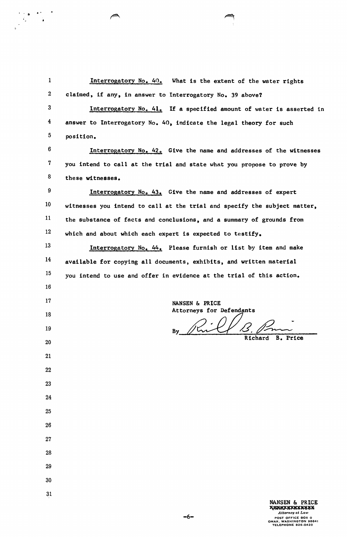1 **Interrogatory No. 40.** What is the extent of the water rights 2 claimed, if any, in answer to Interrogatory No. 39 above? 3 Interrogatory No. 41. If a specified amount of water is asserted in 4 answer to Interrogatory No. 40, indicate the legal theory for such 5 position.  $6$  Interrogatory No. 42. Give the name and addresses of the witnesses 7 you intend to call at the trial and state what you propose to prove by  $8$  these witnesses. 9 10 11 12 13 14 15 16 17 18 19 20 21 22 23 24 25 26 27 28 29 30 Interrogatory Noo 43. Give the name and addresses of expert witnesses you intend to call at the trial and specify the subject matter, the substance of facts and conclusions, and a summary of grounds from which and about which each expert is expected to testify. Interrogatory No. 44. Please furnish or list by item and make available for copying all documents, exhibits, and written material you intend to use and offer in evidence at the trial of this action. NANSEN & PRICE Attorneys for Defendants By Rill B. Pm Richard B. Price

 $\begin{array}{cc} \mathbf{0} & \mathbf{0} & \mathbf{0} & \mathbf{0} \\ \mathbf{0} & \mathbf{0} & \mathbf{0} \\ \mathbf{0} & \mathbf{0} & \mathbf{0} \end{array}$ 

31